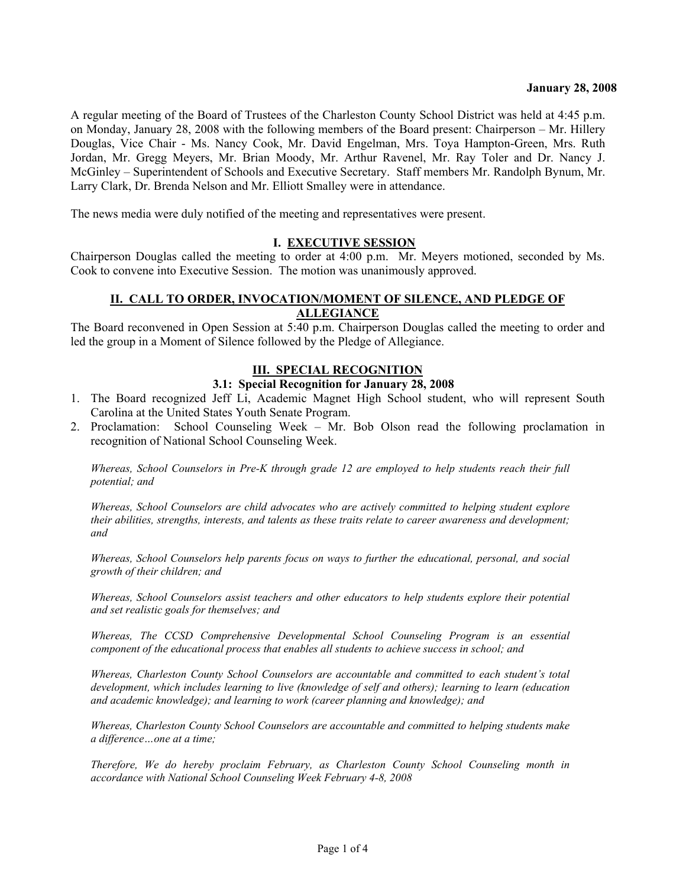A regular meeting of the Board of Trustees of the Charleston County School District was held at 4:45 p.m. on Monday, January 28, 2008 with the following members of the Board present: Chairperson – Mr. Hillery Douglas, Vice Chair - Ms. Nancy Cook, Mr. David Engelman, Mrs. Toya Hampton-Green, Mrs. Ruth Jordan, Mr. Gregg Meyers, Mr. Brian Moody, Mr. Arthur Ravenel, Mr. Ray Toler and Dr. Nancy J. McGinley – Superintendent of Schools and Executive Secretary. Staff members Mr. Randolph Bynum, Mr. Larry Clark, Dr. Brenda Nelson and Mr. Elliott Smalley were in attendance.

The news media were duly notified of the meeting and representatives were present.

#### **I. EXECUTIVE SESSION**

Chairperson Douglas called the meeting to order at 4:00 p.m. Mr. Meyers motioned, seconded by Ms. Cook to convene into Executive Session. The motion was unanimously approved.

#### **II. CALL TO ORDER, INVOCATION/MOMENT OF SILENCE, AND PLEDGE OF ALLEGIANCE**

The Board reconvened in Open Session at 5:40 p.m. Chairperson Douglas called the meeting to order and led the group in a Moment of Silence followed by the Pledge of Allegiance.

## **III. SPECIAL RECOGNITION**

#### **3.1: Special Recognition for January 28, 2008**

- 1. The Board recognized Jeff Li, Academic Magnet High School student, who will represent South Carolina at the United States Youth Senate Program.
- 2. Proclamation: School Counseling Week Mr. Bob Olson read the following proclamation in recognition of National School Counseling Week.

*Whereas, School Counselors in Pre-K through grade 12 are employed to help students reach their full potential; and* 

*Whereas, School Counselors are child advocates who are actively committed to helping student explore their abilities, strengths, interests, and talents as these traits relate to career awareness and development; and* 

*Whereas, School Counselors help parents focus on ways to further the educational, personal, and social growth of their children; and* 

*Whereas, School Counselors assist teachers and other educators to help students explore their potential and set realistic goals for themselves; and* 

*Whereas, The CCSD Comprehensive Developmental School Counseling Program is an essential component of the educational process that enables all students to achieve success in school; and* 

*Whereas, Charleston County School Counselors are accountable and committed to each student's total development, which includes learning to live (knowledge of self and others); learning to learn (education and academic knowledge); and learning to work (career planning and knowledge); and* 

*Whereas, Charleston County School Counselors are accountable and committed to helping students make a difference…one at a time;* 

*Therefore, We do hereby proclaim February, as Charleston County School Counseling month in accordance with National School Counseling Week February 4-8, 2008*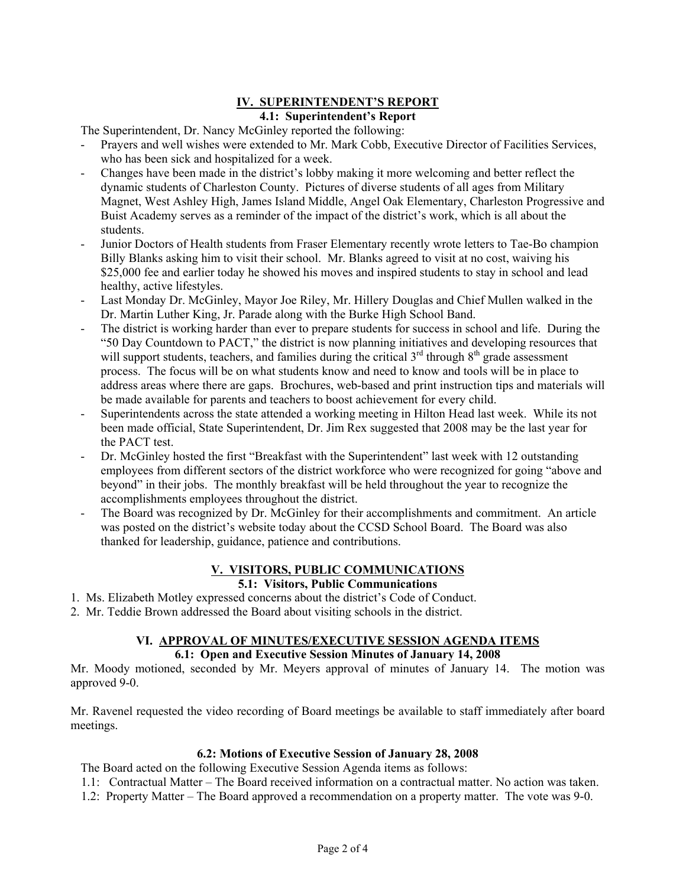## **IV. SUPERINTENDENT'S REPORT 4.1: Superintendent's Report**

The Superintendent, Dr. Nancy McGinley reported the following:

- Prayers and well wishes were extended to Mr. Mark Cobb, Executive Director of Facilities Services, who has been sick and hospitalized for a week.
- Changes have been made in the district's lobby making it more welcoming and better reflect the dynamic students of Charleston County. Pictures of diverse students of all ages from Military Magnet, West Ashley High, James Island Middle, Angel Oak Elementary, Charleston Progressive and Buist Academy serves as a reminder of the impact of the district's work, which is all about the students.
- Junior Doctors of Health students from Fraser Elementary recently wrote letters to Tae-Bo champion Billy Blanks asking him to visit their school. Mr. Blanks agreed to visit at no cost, waiving his \$25,000 fee and earlier today he showed his moves and inspired students to stay in school and lead healthy, active lifestyles.
- Last Monday Dr. McGinley, Mayor Joe Riley, Mr. Hillery Douglas and Chief Mullen walked in the Dr. Martin Luther King, Jr. Parade along with the Burke High School Band.
- The district is working harder than ever to prepare students for success in school and life. During the "50 Day Countdown to PACT," the district is now planning initiatives and developing resources that will support students, teachers, and families during the critical  $3<sup>rd</sup>$  through  $8<sup>th</sup>$  grade assessment process. The focus will be on what students know and need to know and tools will be in place to address areas where there are gaps. Brochures, web-based and print instruction tips and materials will be made available for parents and teachers to boost achievement for every child.
- Superintendents across the state attended a working meeting in Hilton Head last week. While its not been made official, State Superintendent, Dr. Jim Rex suggested that 2008 may be the last year for the PACT test.
- Dr. McGinley hosted the first "Breakfast with the Superintendent" last week with 12 outstanding employees from different sectors of the district workforce who were recognized for going "above and beyond" in their jobs. The monthly breakfast will be held throughout the year to recognize the accomplishments employees throughout the district.
- The Board was recognized by Dr. McGinley for their accomplishments and commitment. An article was posted on the district's website today about the CCSD School Board. The Board was also thanked for leadership, guidance, patience and contributions.

# **V. VISITORS, PUBLIC COMMUNICATIONS**

## **5.1: Visitors, Public Communications**

- 1. Ms. Elizabeth Motley expressed concerns about the district's Code of Conduct.
- 2. Mr. Teddie Brown addressed the Board about visiting schools in the district.

## **VI. APPROVAL OF MINUTES/EXECUTIVE SESSION AGENDA ITEMS**

#### **6.1: Open and Executive Session Minutes of January 14, 2008**

Mr. Moody motioned, seconded by Mr. Meyers approval of minutes of January 14. The motion was approved 9-0.

Mr. Ravenel requested the video recording of Board meetings be available to staff immediately after board meetings.

#### **6.2: Motions of Executive Session of January 28, 2008**

The Board acted on the following Executive Session Agenda items as follows:

- 1.1: Contractual Matter The Board received information on a contractual matter. No action was taken.
- 1.2: Property Matter The Board approved a recommendation on a property matter. The vote was 9-0.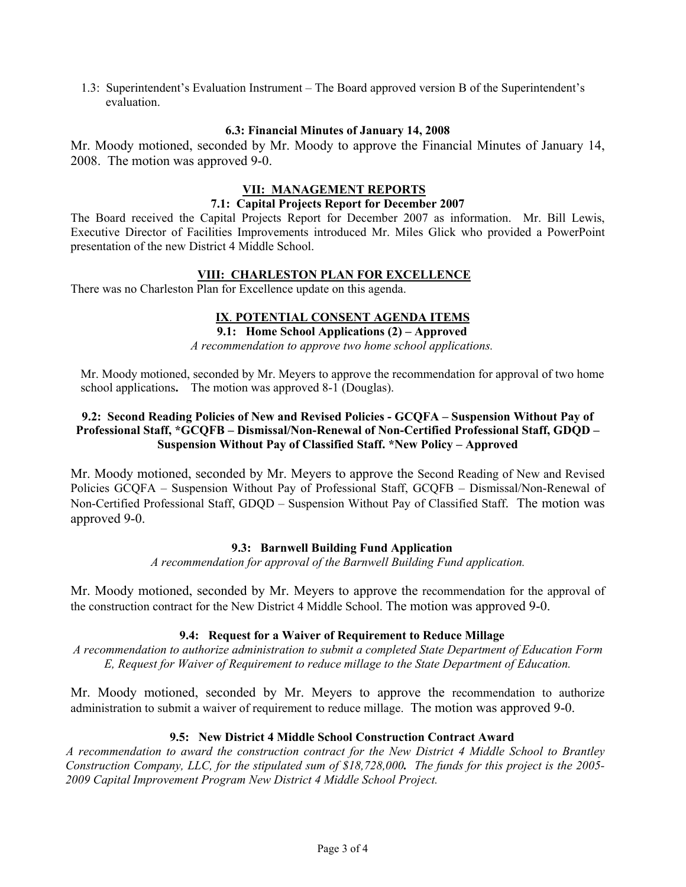1.3: Superintendent's Evaluation Instrument – The Board approved version B of the Superintendent's evaluation.

#### **6.3: Financial Minutes of January 14, 2008**

Mr. Moody motioned, seconded by Mr. Moody to approve the Financial Minutes of January 14, 2008. The motion was approved 9-0.

## **VII: MANAGEMENT REPORTS**

#### **7.1: Capital Projects Report for December 2007**

The Board received the Capital Projects Report for December 2007 as information. Mr. Bill Lewis, Executive Director of Facilities Improvements introduced Mr. Miles Glick who provided a PowerPoint presentation of the new District 4 Middle School.

## **VIII: CHARLESTON PLAN FOR EXCELLENCE**

There was no Charleston Plan for Excellence update on this agenda.

# **IX**. **POTENTIAL CONSENT AGENDA ITEMS**

# **9.1: Home School Applications (2) – Approved**

*A recommendation to approve two home school applications.* 

Mr. Moody motioned, seconded by Mr. Meyers to approve the recommendation for approval of two home school applications**.** The motion was approved 8-1 (Douglas).

## **9.2: Second Reading Policies of New and Revised Policies - GCQFA – Suspension Without Pay of Professional Staff, \*GCQFB – Dismissal/Non-Renewal of Non-Certified Professional Staff, GDQD – Suspension Without Pay of Classified Staff. \*New Policy – Approved**

Mr. Moody motioned, seconded by Mr. Meyers to approve the Second Reading of New and Revised Policies GCQFA – Suspension Without Pay of Professional Staff, GCQFB – Dismissal/Non-Renewal of Non-Certified Professional Staff, GDQD – Suspension Without Pay of Classified Staff. The motion was approved 9-0.

## **9.3: Barnwell Building Fund Application**

*A recommendation for approval of the Barnwell Building Fund application.* 

Mr. Moody motioned, seconded by Mr. Meyers to approve the recommendation for the approval of the construction contract for the New District 4 Middle School. The motion was approved 9-0.

## **9.4: Request for a Waiver of Requirement to Reduce Millage**

*A recommendation to authorize administration to submit a completed State Department of Education Form E, Request for Waiver of Requirement to reduce millage to the State Department of Education.* 

Mr. Moody motioned, seconded by Mr. Meyers to approve the recommendation to authorize administration to submit a waiver of requirement to reduce millage. The motion was approved 9-0.

#### **9.5: New District 4 Middle School Construction Contract Award**

*A recommendation to award the construction contract for the New District 4 Middle School to Brantley Construction Company, LLC, for the stipulated sum of \$18,728,000. The funds for this project is the 2005- 2009 Capital Improvement Program New District 4 Middle School Project.*